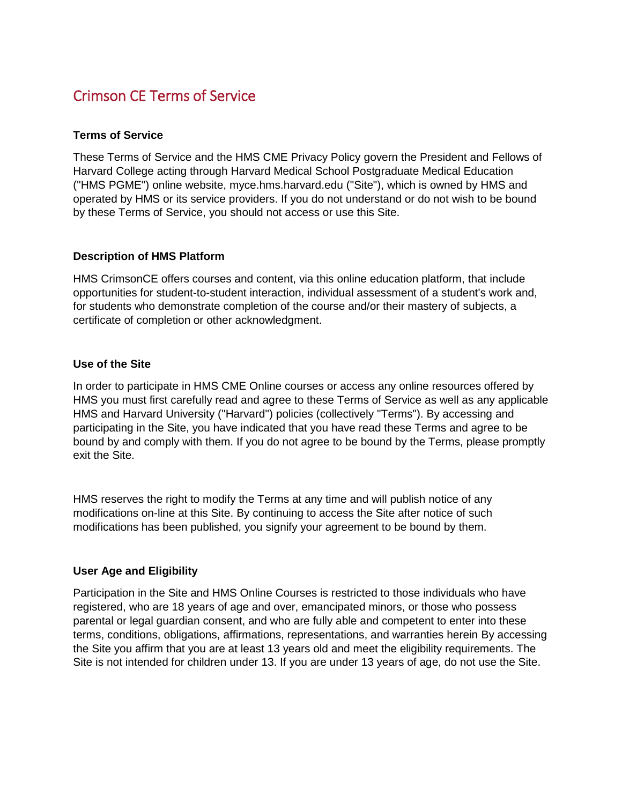# Crimson CE Terms of Service

# **Terms of Service**

These Terms of Service and the HMS CME Privacy Policy govern the President and Fellows of Harvard College acting through Harvard Medical School Postgraduate Medical Education ("HMS PGME") online website, myce.hms.harvard.edu ("Site"), which is owned by HMS and operated by HMS or its service providers. If you do not understand or do not wish to be bound by these Terms of Service, you should not access or use this Site.

### **Description of HMS Platform**

HMS CrimsonCE offers courses and content, via this online education platform, that include opportunities for student-to-student interaction, individual assessment of a student's work and, for students who demonstrate completion of the course and/or their mastery of subjects, a certificate of completion or other acknowledgment.

### **Use of the Site**

In order to participate in HMS CME Online courses or access any online resources offered by HMS you must first carefully read and agree to these Terms of Service as well as any applicable HMS and Harvard University ("Harvard") policies (collectively "Terms"). By accessing and participating in the Site, you have indicated that you have read these Terms and agree to be bound by and comply with them. If you do not agree to be bound by the Terms, please promptly exit the Site.

HMS reserves the right to modify the Terms at any time and will publish notice of any modifications on-line at this Site. By continuing to access the Site after notice of such modifications has been published, you signify your agreement to be bound by them.

#### **User Age and Eligibility**

Participation in the Site and HMS Online Courses is restricted to those individuals who have registered, who are 18 years of age and over, emancipated minors, or those who possess parental or legal guardian consent, and who are fully able and competent to enter into these terms, conditions, obligations, affirmations, representations, and warranties herein By accessing the Site you affirm that you are at least 13 years old and meet the eligibility requirements. The Site is not intended for children under 13. If you are under 13 years of age, do not use the Site.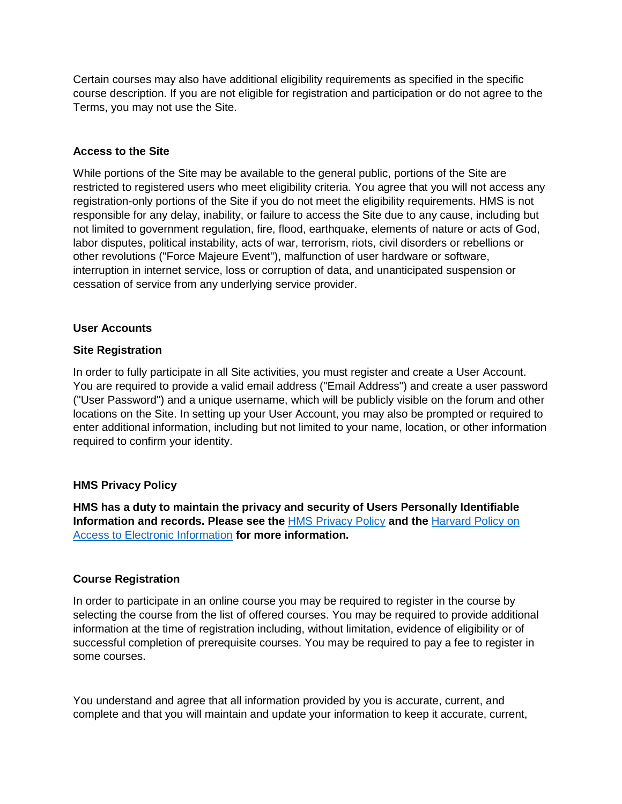Certain courses may also have additional eligibility requirements as specified in the specific course description. If you are not eligible for registration and participation or do not agree to the Terms, you may not use the Site.

# **Access to the Site**

While portions of the Site may be available to the general public, portions of the Site are restricted to registered users who meet eligibility criteria. You agree that you will not access any registration-only portions of the Site if you do not meet the eligibility requirements. HMS is not responsible for any delay, inability, or failure to access the Site due to any cause, including but not limited to government regulation, fire, flood, earthquake, elements of nature or acts of God, labor disputes, political instability, acts of war, terrorism, riots, civil disorders or rebellions or other revolutions ("Force Majeure Event"), malfunction of user hardware or software, interruption in internet service, loss or corruption of data, and unanticipated suspension or cessation of service from any underlying service provider.

# **User Accounts**

### **Site Registration**

In order to fully participate in all Site activities, you must register and create a User Account. You are required to provide a valid email address ("Email Address") and create a user password ("User Password") and a unique username, which will be publicly visible on the forum and other locations on the Site. In setting up your User Account, you may also be prompted or required to enter additional information, including but not limited to your name, location, or other information required to confirm your identity.

# **HMS Privacy Policy**

**HMS has a duty to maintain the privacy and security of Users Personally Identifiable Information and records. Please see the** [HMS Privacy Policy](https://hms.harvard.edu/privacy-policy) **and the** [Harvard Policy on](https://huit.harvard.edu/policy-access-electronic-information)  [Access to Electronic Information](https://huit.harvard.edu/policy-access-electronic-information) **for more information.**

# **Course Registration**

In order to participate in an online course you may be required to register in the course by selecting the course from the list of offered courses. You may be required to provide additional information at the time of registration including, without limitation, evidence of eligibility or of successful completion of prerequisite courses. You may be required to pay a fee to register in some courses.

You understand and agree that all information provided by you is accurate, current, and complete and that you will maintain and update your information to keep it accurate, current,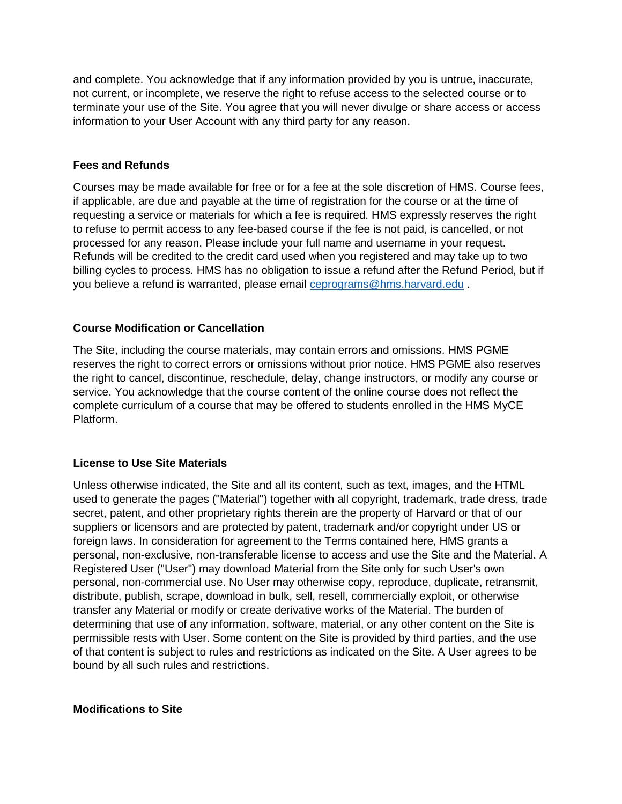and complete. You acknowledge that if any information provided by you is untrue, inaccurate, not current, or incomplete, we reserve the right to refuse access to the selected course or to terminate your use of the Site. You agree that you will never divulge or share access or access information to your User Account with any third party for any reason.

# **Fees and Refunds**

Courses may be made available for free or for a fee at the sole discretion of HMS. Course fees, if applicable, are due and payable at the time of registration for the course or at the time of requesting a service or materials for which a fee is required. HMS expressly reserves the right to refuse to permit access to any fee-based course if the fee is not paid, is cancelled, or not processed for any reason. Please include your full name and username in your request. Refunds will be credited to the credit card used when you registered and may take up to two billing cycles to process. HMS has no obligation to issue a refund after the Refund Period, but if you believe a refund is warranted, please email **ceprograms@hms.harvard.edu**.

# **Course Modification or Cancellation**

The Site, including the course materials, may contain errors and omissions. HMS PGME reserves the right to correct errors or omissions without prior notice. HMS PGME also reserves the right to cancel, discontinue, reschedule, delay, change instructors, or modify any course or service. You acknowledge that the course content of the online course does not reflect the complete curriculum of a course that may be offered to students enrolled in the HMS MyCE Platform.

# **License to Use Site Materials**

Unless otherwise indicated, the Site and all its content, such as text, images, and the HTML used to generate the pages ("Material") together with all copyright, trademark, trade dress, trade secret, patent, and other proprietary rights therein are the property of Harvard or that of our suppliers or licensors and are protected by patent, trademark and/or copyright under US or foreign laws. In consideration for agreement to the Terms contained here, HMS grants a personal, non-exclusive, non-transferable license to access and use the Site and the Material. A Registered User ("User") may download Material from the Site only for such User's own personal, non-commercial use. No User may otherwise copy, reproduce, duplicate, retransmit, distribute, publish, scrape, download in bulk, sell, resell, commercially exploit, or otherwise transfer any Material or modify or create derivative works of the Material. The burden of determining that use of any information, software, material, or any other content on the Site is permissible rests with User. Some content on the Site is provided by third parties, and the use of that content is subject to rules and restrictions as indicated on the Site. A User agrees to be bound by all such rules and restrictions.

# **Modifications to Site**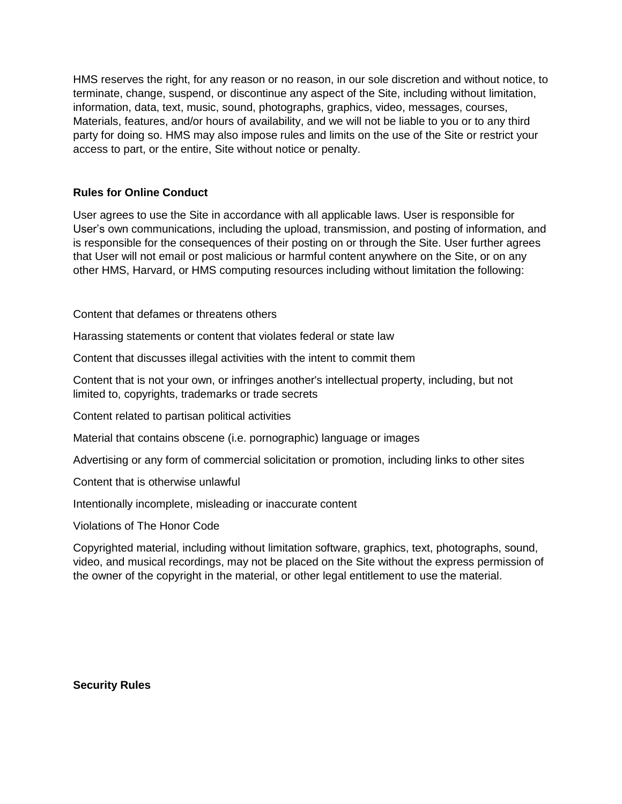HMS reserves the right, for any reason or no reason, in our sole discretion and without notice, to terminate, change, suspend, or discontinue any aspect of the Site, including without limitation, information, data, text, music, sound, photographs, graphics, video, messages, courses, Materials, features, and/or hours of availability, and we will not be liable to you or to any third party for doing so. HMS may also impose rules and limits on the use of the Site or restrict your access to part, or the entire, Site without notice or penalty.

# **Rules for Online Conduct**

User agrees to use the Site in accordance with all applicable laws. User is responsible for User's own communications, including the upload, transmission, and posting of information, and is responsible for the consequences of their posting on or through the Site. User further agrees that User will not email or post malicious or harmful content anywhere on the Site, or on any other HMS, Harvard, or HMS computing resources including without limitation the following:

Content that defames or threatens others

Harassing statements or content that violates federal or state law

Content that discusses illegal activities with the intent to commit them

Content that is not your own, or infringes another's intellectual property, including, but not limited to, copyrights, trademarks or trade secrets

Content related to partisan political activities

Material that contains obscene (i.e. pornographic) language or images

Advertising or any form of commercial solicitation or promotion, including links to other sites

Content that is otherwise unlawful

Intentionally incomplete, misleading or inaccurate content

Violations of The Honor Code

Copyrighted material, including without limitation software, graphics, text, photographs, sound, video, and musical recordings, may not be placed on the Site without the express permission of the owner of the copyright in the material, or other legal entitlement to use the material.

**Security Rules**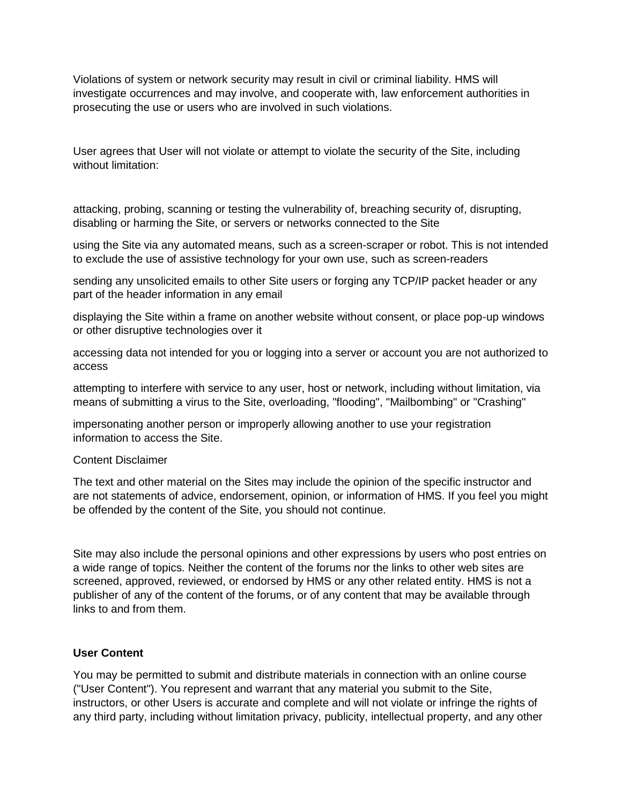Violations of system or network security may result in civil or criminal liability. HMS will investigate occurrences and may involve, and cooperate with, law enforcement authorities in prosecuting the use or users who are involved in such violations.

User agrees that User will not violate or attempt to violate the security of the Site, including without limitation:

attacking, probing, scanning or testing the vulnerability of, breaching security of, disrupting, disabling or harming the Site, or servers or networks connected to the Site

using the Site via any automated means, such as a screen-scraper or robot. This is not intended to exclude the use of assistive technology for your own use, such as screen-readers

sending any unsolicited emails to other Site users or forging any TCP/IP packet header or any part of the header information in any email

displaying the Site within a frame on another website without consent, or place pop-up windows or other disruptive technologies over it

accessing data not intended for you or logging into a server or account you are not authorized to access

attempting to interfere with service to any user, host or network, including without limitation, via means of submitting a virus to the Site, overloading, "flooding", "Mailbombing" or "Crashing"

impersonating another person or improperly allowing another to use your registration information to access the Site.

#### Content Disclaimer

The text and other material on the Sites may include the opinion of the specific instructor and are not statements of advice, endorsement, opinion, or information of HMS. If you feel you might be offended by the content of the Site, you should not continue.

Site may also include the personal opinions and other expressions by users who post entries on a wide range of topics. Neither the content of the forums nor the links to other web sites are screened, approved, reviewed, or endorsed by HMS or any other related entity. HMS is not a publisher of any of the content of the forums, or of any content that may be available through links to and from them.

#### **User Content**

You may be permitted to submit and distribute materials in connection with an online course ("User Content"). You represent and warrant that any material you submit to the Site, instructors, or other Users is accurate and complete and will not violate or infringe the rights of any third party, including without limitation privacy, publicity, intellectual property, and any other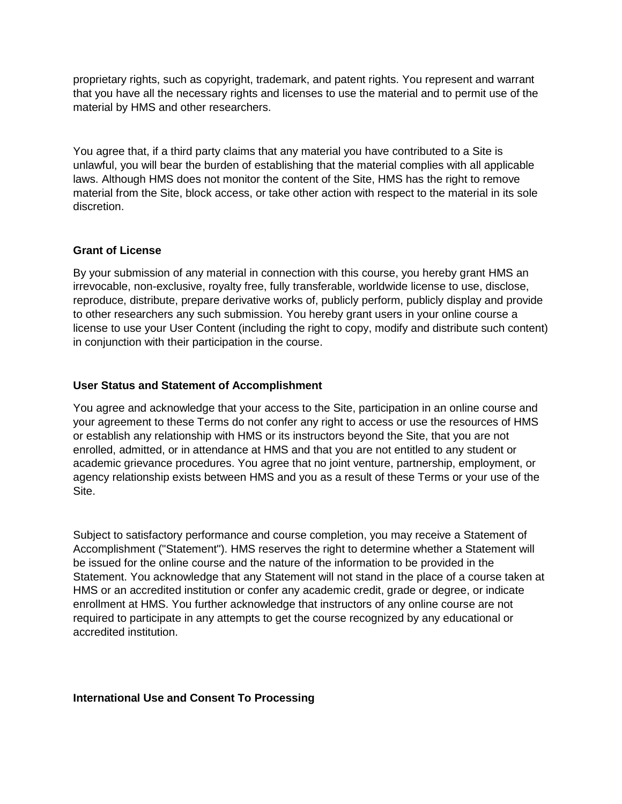proprietary rights, such as copyright, trademark, and patent rights. You represent and warrant that you have all the necessary rights and licenses to use the material and to permit use of the material by HMS and other researchers.

You agree that, if a third party claims that any material you have contributed to a Site is unlawful, you will bear the burden of establishing that the material complies with all applicable laws. Although HMS does not monitor the content of the Site, HMS has the right to remove material from the Site, block access, or take other action with respect to the material in its sole discretion.

# **Grant of License**

By your submission of any material in connection with this course, you hereby grant HMS an irrevocable, non-exclusive, royalty free, fully transferable, worldwide license to use, disclose, reproduce, distribute, prepare derivative works of, publicly perform, publicly display and provide to other researchers any such submission. You hereby grant users in your online course a license to use your User Content (including the right to copy, modify and distribute such content) in conjunction with their participation in the course.

# **User Status and Statement of Accomplishment**

You agree and acknowledge that your access to the Site, participation in an online course and your agreement to these Terms do not confer any right to access or use the resources of HMS or establish any relationship with HMS or its instructors beyond the Site, that you are not enrolled, admitted, or in attendance at HMS and that you are not entitled to any student or academic grievance procedures. You agree that no joint venture, partnership, employment, or agency relationship exists between HMS and you as a result of these Terms or your use of the Site.

Subject to satisfactory performance and course completion, you may receive a Statement of Accomplishment ("Statement"). HMS reserves the right to determine whether a Statement will be issued for the online course and the nature of the information to be provided in the Statement. You acknowledge that any Statement will not stand in the place of a course taken at HMS or an accredited institution or confer any academic credit, grade or degree, or indicate enrollment at HMS. You further acknowledge that instructors of any online course are not required to participate in any attempts to get the course recognized by any educational or accredited institution.

# **International Use and Consent To Processing**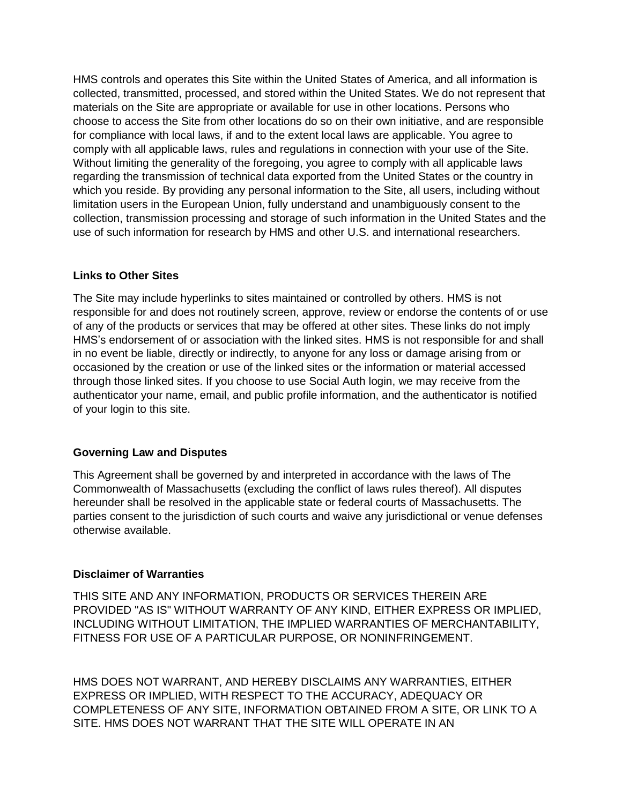HMS controls and operates this Site within the United States of America, and all information is collected, transmitted, processed, and stored within the United States. We do not represent that materials on the Site are appropriate or available for use in other locations. Persons who choose to access the Site from other locations do so on their own initiative, and are responsible for compliance with local laws, if and to the extent local laws are applicable. You agree to comply with all applicable laws, rules and regulations in connection with your use of the Site. Without limiting the generality of the foregoing, you agree to comply with all applicable laws regarding the transmission of technical data exported from the United States or the country in which you reside. By providing any personal information to the Site, all users, including without limitation users in the European Union, fully understand and unambiguously consent to the collection, transmission processing and storage of such information in the United States and the use of such information for research by HMS and other U.S. and international researchers.

# **Links to Other Sites**

The Site may include hyperlinks to sites maintained or controlled by others. HMS is not responsible for and does not routinely screen, approve, review or endorse the contents of or use of any of the products or services that may be offered at other sites. These links do not imply HMS's endorsement of or association with the linked sites. HMS is not responsible for and shall in no event be liable, directly or indirectly, to anyone for any loss or damage arising from or occasioned by the creation or use of the linked sites or the information or material accessed through those linked sites. If you choose to use Social Auth login, we may receive from the authenticator your name, email, and public profile information, and the authenticator is notified of your login to this site.

# **Governing Law and Disputes**

This Agreement shall be governed by and interpreted in accordance with the laws of The Commonwealth of Massachusetts (excluding the conflict of laws rules thereof). All disputes hereunder shall be resolved in the applicable state or federal courts of Massachusetts. The parties consent to the jurisdiction of such courts and waive any jurisdictional or venue defenses otherwise available.

# **Disclaimer of Warranties**

THIS SITE AND ANY INFORMATION, PRODUCTS OR SERVICES THEREIN ARE PROVIDED "AS IS" WITHOUT WARRANTY OF ANY KIND, EITHER EXPRESS OR IMPLIED, INCLUDING WITHOUT LIMITATION, THE IMPLIED WARRANTIES OF MERCHANTABILITY, FITNESS FOR USE OF A PARTICULAR PURPOSE, OR NONINFRINGEMENT.

HMS DOES NOT WARRANT, AND HEREBY DISCLAIMS ANY WARRANTIES, EITHER EXPRESS OR IMPLIED, WITH RESPECT TO THE ACCURACY, ADEQUACY OR COMPLETENESS OF ANY SITE, INFORMATION OBTAINED FROM A SITE, OR LINK TO A SITE. HMS DOES NOT WARRANT THAT THE SITE WILL OPERATE IN AN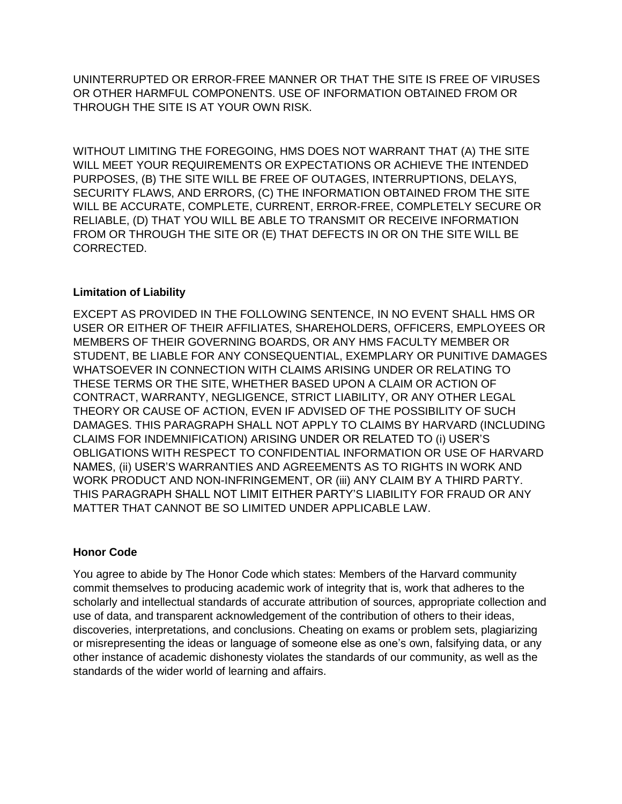UNINTERRUPTED OR ERROR-FREE MANNER OR THAT THE SITE IS FREE OF VIRUSES OR OTHER HARMFUL COMPONENTS. USE OF INFORMATION OBTAINED FROM OR THROUGH THE SITE IS AT YOUR OWN RISK.

WITHOUT LIMITING THE FOREGOING, HMS DOES NOT WARRANT THAT (A) THE SITE WILL MEET YOUR REQUIREMENTS OR EXPECTATIONS OR ACHIEVE THE INTENDED PURPOSES, (B) THE SITE WILL BE FREE OF OUTAGES, INTERRUPTIONS, DELAYS, SECURITY FLAWS, AND ERRORS, (C) THE INFORMATION OBTAINED FROM THE SITE WILL BE ACCURATE, COMPLETE, CURRENT, ERROR-FREE, COMPLETELY SECURE OR RELIABLE, (D) THAT YOU WILL BE ABLE TO TRANSMIT OR RECEIVE INFORMATION FROM OR THROUGH THE SITE OR (E) THAT DEFECTS IN OR ON THE SITE WILL BE CORRECTED.

# **Limitation of Liability**

EXCEPT AS PROVIDED IN THE FOLLOWING SENTENCE, IN NO EVENT SHALL HMS OR USER OR EITHER OF THEIR AFFILIATES, SHAREHOLDERS, OFFICERS, EMPLOYEES OR MEMBERS OF THEIR GOVERNING BOARDS, OR ANY HMS FACULTY MEMBER OR STUDENT, BE LIABLE FOR ANY CONSEQUENTIAL, EXEMPLARY OR PUNITIVE DAMAGES WHATSOEVER IN CONNECTION WITH CLAIMS ARISING UNDER OR RELATING TO THESE TERMS OR THE SITE, WHETHER BASED UPON A CLAIM OR ACTION OF CONTRACT, WARRANTY, NEGLIGENCE, STRICT LIABILITY, OR ANY OTHER LEGAL THEORY OR CAUSE OF ACTION, EVEN IF ADVISED OF THE POSSIBILITY OF SUCH DAMAGES. THIS PARAGRAPH SHALL NOT APPLY TO CLAIMS BY HARVARD (INCLUDING CLAIMS FOR INDEMNIFICATION) ARISING UNDER OR RELATED TO (i) USER'S OBLIGATIONS WITH RESPECT TO CONFIDENTIAL INFORMATION OR USE OF HARVARD NAMES, (ii) USER'S WARRANTIES AND AGREEMENTS AS TO RIGHTS IN WORK AND WORK PRODUCT AND NON-INFRINGEMENT, OR (iii) ANY CLAIM BY A THIRD PARTY. THIS PARAGRAPH SHALL NOT LIMIT EITHER PARTY'S LIABILITY FOR FRAUD OR ANY MATTER THAT CANNOT BE SO LIMITED UNDER APPLICABLE LAW.

# **Honor Code**

You agree to abide by The Honor Code which states: Members of the Harvard community commit themselves to producing academic work of integrity that is, work that adheres to the scholarly and intellectual standards of accurate attribution of sources, appropriate collection and use of data, and transparent acknowledgement of the contribution of others to their ideas, discoveries, interpretations, and conclusions. Cheating on exams or problem sets, plagiarizing or misrepresenting the ideas or language of someone else as one's own, falsifying data, or any other instance of academic dishonesty violates the standards of our community, as well as the standards of the wider world of learning and affairs.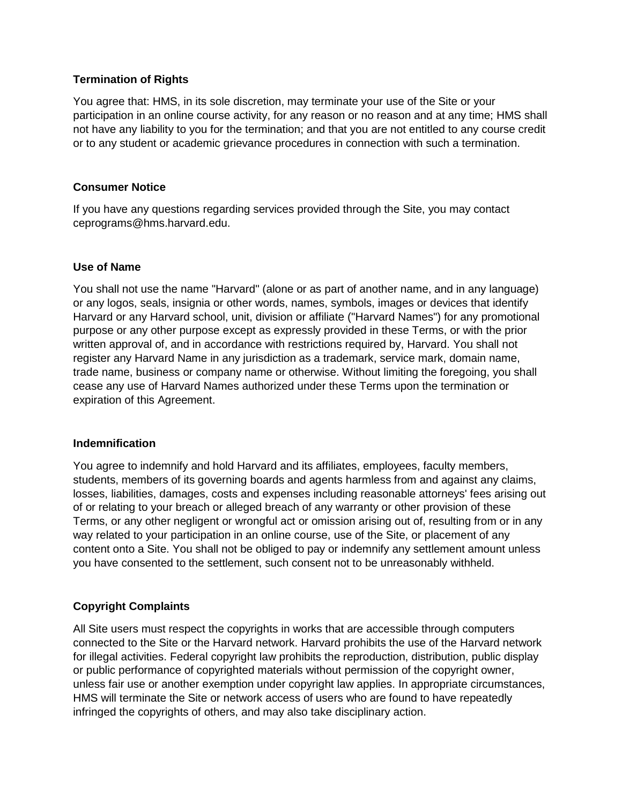# **Termination of Rights**

You agree that: HMS, in its sole discretion, may terminate your use of the Site or your participation in an online course activity, for any reason or no reason and at any time; HMS shall not have any liability to you for the termination; and that you are not entitled to any course credit or to any student or academic grievance procedures in connection with such a termination.

### **Consumer Notice**

If you have any questions regarding services provided through the Site, you may contact ceprograms@hms.harvard.edu.

### **Use of Name**

You shall not use the name "Harvard" (alone or as part of another name, and in any language) or any logos, seals, insignia or other words, names, symbols, images or devices that identify Harvard or any Harvard school, unit, division or affiliate ("Harvard Names") for any promotional purpose or any other purpose except as expressly provided in these Terms, or with the prior written approval of, and in accordance with restrictions required by, Harvard. You shall not register any Harvard Name in any jurisdiction as a trademark, service mark, domain name, trade name, business or company name or otherwise. Without limiting the foregoing, you shall cease any use of Harvard Names authorized under these Terms upon the termination or expiration of this Agreement.

#### **Indemnification**

You agree to indemnify and hold Harvard and its affiliates, employees, faculty members, students, members of its governing boards and agents harmless from and against any claims, losses, liabilities, damages, costs and expenses including reasonable attorneys' fees arising out of or relating to your breach or alleged breach of any warranty or other provision of these Terms, or any other negligent or wrongful act or omission arising out of, resulting from or in any way related to your participation in an online course, use of the Site, or placement of any content onto a Site. You shall not be obliged to pay or indemnify any settlement amount unless you have consented to the settlement, such consent not to be unreasonably withheld.

# **Copyright Complaints**

All Site users must respect the copyrights in works that are accessible through computers connected to the Site or the Harvard network. Harvard prohibits the use of the Harvard network for illegal activities. Federal copyright law prohibits the reproduction, distribution, public display or public performance of copyrighted materials without permission of the copyright owner, unless fair use or another exemption under copyright law applies. In appropriate circumstances, HMS will terminate the Site or network access of users who are found to have repeatedly infringed the copyrights of others, and may also take disciplinary action.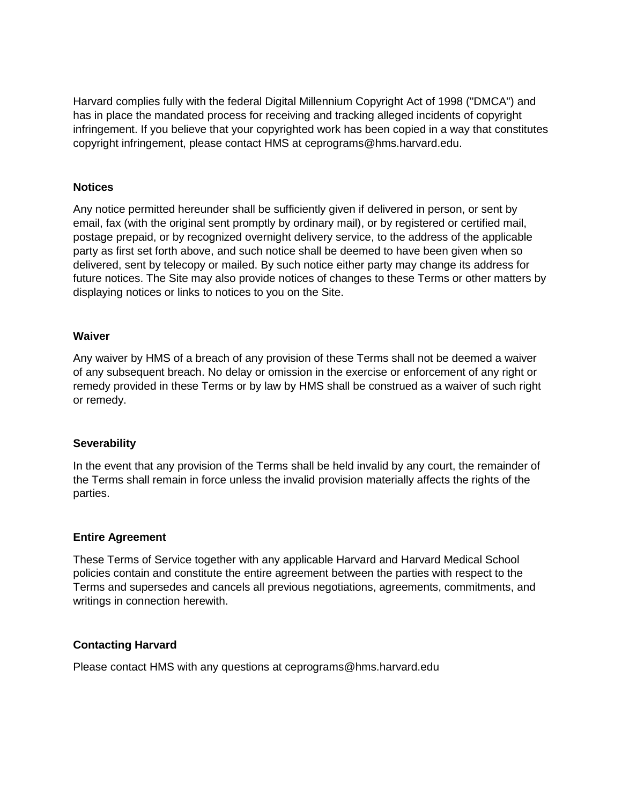Harvard complies fully with the federal Digital Millennium Copyright Act of 1998 ("DMCA") and has in place the mandated process for receiving and tracking alleged incidents of copyright infringement. If you believe that your copyrighted work has been copied in a way that constitutes copyright infringement, please contact HMS at ceprograms@hms.harvard.edu.

# **Notices**

Any notice permitted hereunder shall be sufficiently given if delivered in person, or sent by email, fax (with the original sent promptly by ordinary mail), or by registered or certified mail, postage prepaid, or by recognized overnight delivery service, to the address of the applicable party as first set forth above, and such notice shall be deemed to have been given when so delivered, sent by telecopy or mailed. By such notice either party may change its address for future notices. The Site may also provide notices of changes to these Terms or other matters by displaying notices or links to notices to you on the Site.

### **Waiver**

Any waiver by HMS of a breach of any provision of these Terms shall not be deemed a waiver of any subsequent breach. No delay or omission in the exercise or enforcement of any right or remedy provided in these Terms or by law by HMS shall be construed as a waiver of such right or remedy.

# **Severability**

In the event that any provision of the Terms shall be held invalid by any court, the remainder of the Terms shall remain in force unless the invalid provision materially affects the rights of the parties.

#### **Entire Agreement**

These Terms of Service together with any applicable Harvard and Harvard Medical School policies contain and constitute the entire agreement between the parties with respect to the Terms and supersedes and cancels all previous negotiations, agreements, commitments, and writings in connection herewith.

# **Contacting Harvard**

Please contact HMS with any questions at ceprograms@hms.harvard.edu